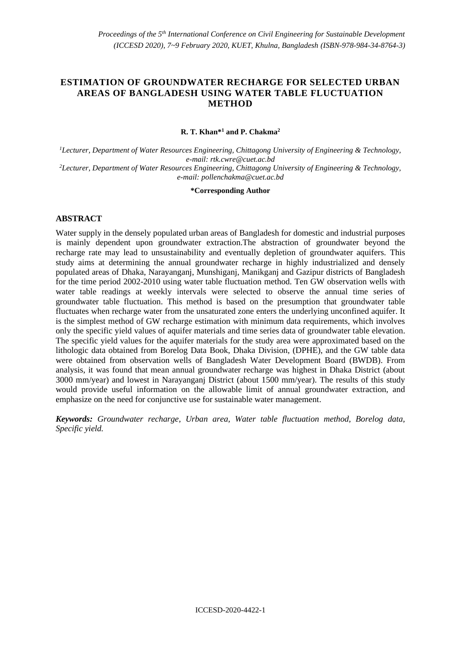# **ESTIMATION OF GROUNDWATER RECHARGE FOR SELECTED URBAN AREAS OF BANGLADESH USING WATER TABLE FLUCTUATION METHOD**

#### **R. T. Khan\*<sup>1</sup> and P. Chakma<sup>2</sup>**

*<sup>1</sup>Lecturer, Department of Water Resources Engineering, Chittagong University of Engineering & Technology, e-mail[: rtk.cwre@cuet.ac.bd](mailto:rtk.cwre@cuet.ac.bd) <sup>2</sup>Lecturer, Department of Water Resources Engineering, Chittagong University of Engineering & Technology, e-mail: [pollenchakma@cuet.ac.bd](mailto:pollenchakma@cuet.ac.bd)*

#### **\*Corresponding Author**

#### **ABSTRACT**

Water supply in the densely populated urban areas of Bangladesh for domestic and industrial purposes is mainly dependent upon groundwater extraction.The abstraction of groundwater beyond the recharge rate may lead to unsustainability and eventually depletion of groundwater aquifers. This study aims at determining the annual groundwater recharge in highly industrialized and densely populated areas of Dhaka, Narayanganj, Munshiganj, Manikganj and Gazipur districts of Bangladesh for the time period 2002-2010 using water table fluctuation method. Ten GW observation wells with water table readings at weekly intervals were selected to observe the annual time series of groundwater table fluctuation. This method is based on the presumption that groundwater table fluctuates when recharge water from the unsaturated zone enters the underlying unconfined aquifer. It is the simplest method of GW recharge estimation with minimum data requirements, which involves only the specific yield values of aquifer materials and time series data of groundwater table elevation. The specific yield values for the aquifer materials for the study area were approximated based on the lithologic data obtained from Borelog Data Book, Dhaka Division, (DPHE), and the GW table data were obtained from observation wells of Bangladesh Water Development Board (BWDB). From analysis, it was found that mean annual groundwater recharge was highest in Dhaka District (about 3000 mm/year) and lowest in Narayanganj District (about 1500 mm/year). The results of this study would provide useful information on the allowable limit of annual groundwater extraction, and emphasize on the need for conjunctive use for sustainable water management.

*Keywords: Groundwater recharge, Urban area, Water table fluctuation method, Borelog data, Specific yield.*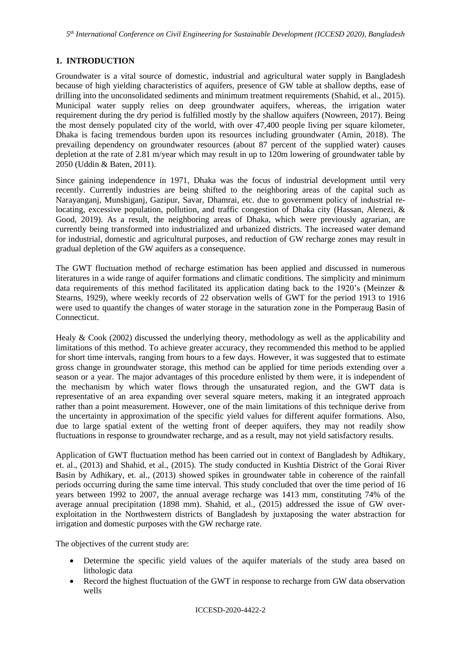### **1. INTRODUCTION**

Groundwater is a vital source of domestic, industrial and agricultural water supply in Bangladesh because of high yielding characteristics of aquifers, presence of GW table at shallow depths, ease of drilling into the unconsolidated sediments and minimum treatment requirements (Shahid, et al., 2015). Municipal water supply relies on deep groundwater aquifers, whereas, the irrigation water requirement during the dry period is fulfilled mostly by the shallow aquifers (Nowreen, 2017). Being the most densely populated city of the world, with over 47,400 people living per square kilometer, Dhaka is facing tremendous burden upon its resources including groundwater (Amin, 2018). The prevailing dependency on groundwater resources (about 87 percent of the supplied water) causes depletion at the rate of 2.81 m/year which may result in up to 120m lowering of groundwater table by 2050 (Uddin & Baten, 2011).

Since gaining independence in 1971, Dhaka was the focus of industrial development until very recently. Currently industries are being shifted to the neighboring areas of the capital such as Narayanganj, Munshiganj, Gazipur, Savar, Dhamrai, etc. due to government policy of industrial relocating, excessive population, pollution, and traffic congestion of Dhaka city (Hassan, Alenezi, & Good, 2019). As a result, the neighboring areas of Dhaka, which were previously agrarian, are currently being transformed into industrialized and urbanized districts. The increased water demand for industrial, domestic and agricultural purposes, and reduction of GW recharge zones may result in gradual depletion of the GW aquifers as a consequence.

The GWT fluctuation method of recharge estimation has been applied and discussed in numerous literatures in a wide range of aquifer formations and climatic conditions. The simplicity and minimum data requirements of this method facilitated its application dating back to the 1920's (Meinzer & Stearns, 1929), where weekly records of 22 observation wells of GWT for the period 1913 to 1916 were used to quantify the changes of water storage in the saturation zone in the Pomperaug Basin of Connecticut.

Healy & Cook (2002) discussed the underlying theory, methodology as well as the applicability and limitations of this method. To achieve greater accuracy, they recommended this method to be applied for short time intervals, ranging from hours to a few days. However, it was suggested that to estimate gross change in groundwater storage, this method can be applied for time periods extending over a season or a year. The major advantages of this procedure enlisted by them were, it is independent of the mechanism by which water flows through the unsaturated region, and the GWT data is representative of an area expanding over several square meters, making it an integrated approach rather than a point measurement. However, one of the main limitations of this technique derive from the uncertainty in approximation of the specific yield values for different aquifer formations. Also, due to large spatial extent of the wetting front of deeper aquifers, they may not readily show fluctuations in response to groundwater recharge, and as a result, may not yield satisfactory results.

Application of GWT fluctuation method has been carried out in context of Bangladesh by Adhikary, et. al., (2013) and Shahid, et al., (2015). The study conducted in Kushtia District of the Gorai River Basin by Adhikary, et. al., (2013) showed spikes in groundwater table in coherence of the rainfall periods occurring during the same time interval. This study concluded that over the time period of 16 years between 1992 to 2007, the annual average recharge was 1413 mm, constituting 74% of the average annual precipitation (1898 mm). Shahid, et al., (2015) addressed the issue of GW overexploitation in the Northwestern districts of Bangladesh by juxtaposing the water abstraction for irrigation and domestic purposes with the GW recharge rate.

The objectives of the current study are:

- Determine the specific yield values of the aquifer materials of the study area based on lithologic data
- Record the highest fluctuation of the GWT in response to recharge from GW data observation wells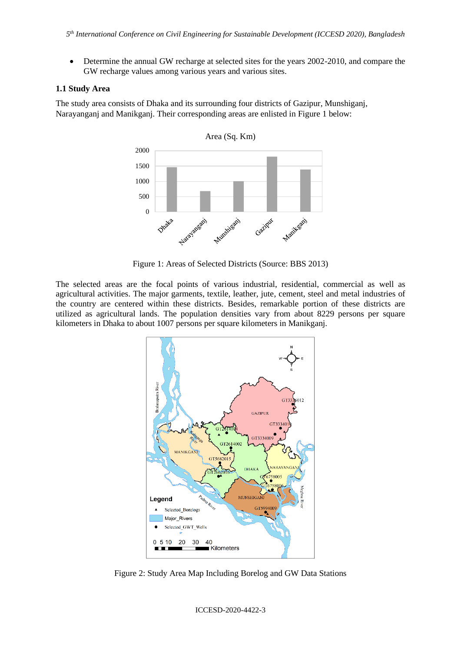• Determine the annual GW recharge at selected sites for the years 2002-2010, and compare the GW recharge values among various years and various sites.

#### **1.1 Study Area**

The study area consists of Dhaka and its surrounding four districts of Gazipur, Munshiganj, Narayanganj and Manikganj. Their corresponding areas are enlisted in [Figure 1](#page-2-0) below:



Figure 1: Areas of Selected Districts (Source: BBS 2013)

<span id="page-2-0"></span>The selected areas are the focal points of various industrial, residential, commercial as well as agricultural activities. The major garments, textile, leather, jute, cement, steel and metal industries of the country are centered within these districts. Besides, remarkable portion of these districts are utilized as agricultural lands. The population densities vary from about 8229 persons per square kilometers in Dhaka to about 1007 persons per square kilometers in Manikganj.



Figure 2: Study Area Map Including Borelog and GW Data Stations

ICCESD-2020-4422-3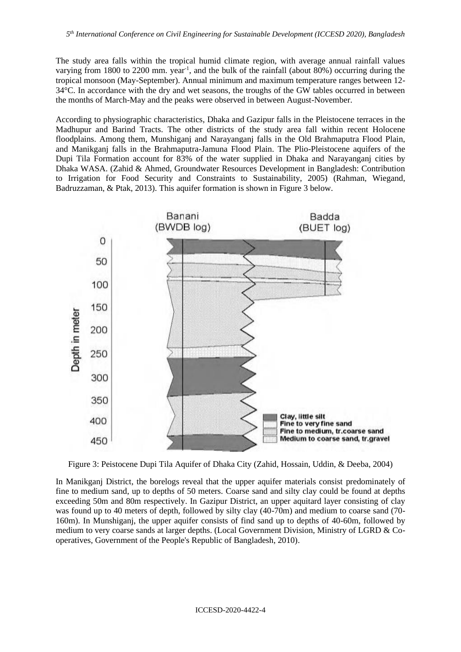The study area falls within the tropical humid climate region, with average annual rainfall values varying from 1800 to 2200 mm. year<sup>-1</sup>, and the bulk of the rainfall (about 80%) occurring during the tropical monsoon (May-September). Annual minimum and maximum temperature ranges between 12-  $34\degree$ C. In accordance with the dry and wet seasons, the troughs of the GW tables occurred in between the months of March-May and the peaks were observed in between August-November.

According to physiographic characteristics, Dhaka and Gazipur falls in the Pleistocene terraces in the Madhupur and Barind Tracts. The other districts of the study area fall within recent Holocene floodplains. Among them, Munshiganj and Narayanganj falls in the Old Brahmaputra Flood Plain, and Manikganj falls in the Brahmaputra-Jamuna Flood Plain. The Plio-Pleistocene aquifers of the Dupi Tila Formation account for 83% of the water supplied in Dhaka and Narayanganj cities by Dhaka WASA. (Zahid & Ahmed, Groundwater Resources Development in Bangladesh: Contribution to Irrigation for Food Security and Constraints to Sustainability, 2005) (Rahman, Wiegand, Badruzzaman, & Ptak, 2013). This aquifer formation is shown i[n Figure 3](#page-3-0) below.



<span id="page-3-0"></span>Figure 3: Peistocene Dupi Tila Aquifer of Dhaka City (Zahid, Hossain, Uddin, & Deeba, 2004)

In Manikganj District, the borelogs reveal that the upper aquifer materials consist predominately of fine to medium sand, up to depths of 50 meters. Coarse sand and silty clay could be found at depths exceeding 50m and 80m respectively. In Gazipur District, an upper aquitard layer consisting of clay was found up to 40 meters of depth, followed by silty clay (40-70m) and medium to coarse sand (70- 160m). In Munshiganj, the upper aquifer consists of find sand up to depths of 40-60m, followed by medium to very coarse sands at larger depths. (Local Government Division, Ministry of LGRD & Cooperatives, Government of the People's Republic of Bangladesh, 2010).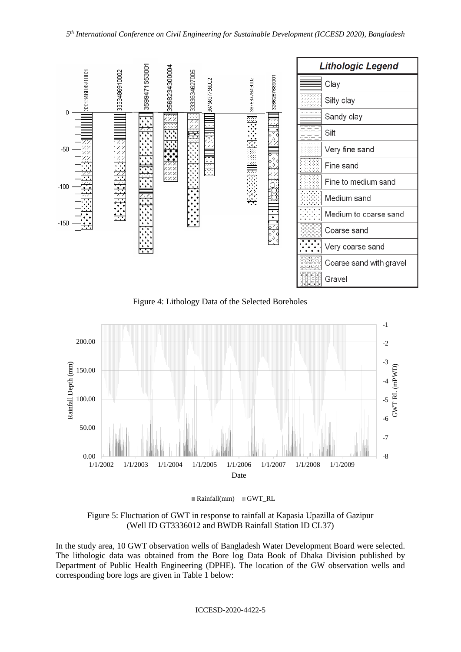

Figure 4: Lithology Data of the Selected Boreholes



 $\blacksquare$  Rainfall(mm)  $\blacksquare$  GWT\_RL

Figure 5: Fluctuation of GWT in response to rainfall at Kapasia Upazilla of Gazipur (Well ID GT3336012 and BWDB Rainfall Station ID CL37)

In the study area, 10 GWT observation wells of Bangladesh Water Development Board were selected. The lithologic data was obtained from the Bore log Data Book of Dhaka Division published by Department of Public Health Engineering (DPHE). The location of the GW observation wells and corresponding bore logs are given i[n Table 1](#page-5-0) below:

ICCESD-2020-4422-5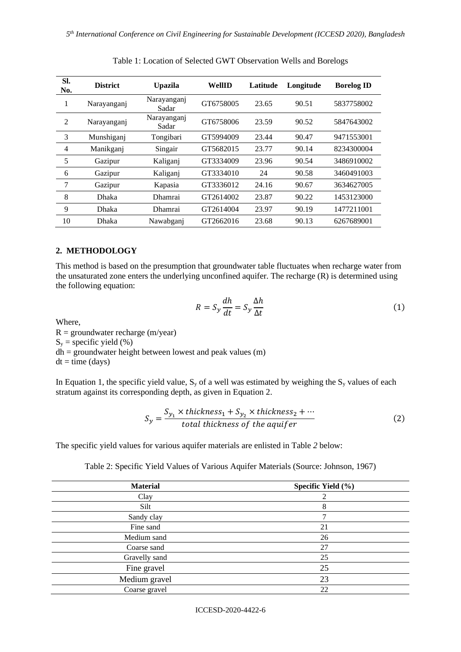<span id="page-5-0"></span>

| SI.<br>No.     | <b>District</b> | <b>Upazila</b>       | WellID    | Latitude | Longitude | <b>Borelog ID</b> |
|----------------|-----------------|----------------------|-----------|----------|-----------|-------------------|
| 1              | Narayanganj     | Narayanganj<br>Sadar | GT6758005 | 23.65    | 90.51     | 5837758002        |
| $\overline{2}$ | Narayanganj     | Narayanganj<br>Sadar | GT6758006 | 23.59    | 90.52     | 5847643002        |
| 3              | Munshiganj      | Tongibari            | GT5994009 | 23.44    | 90.47     | 9471553001        |
| $\overline{4}$ | Manikganj       | Singair              | GT5682015 | 23.77    | 90.14     | 8234300004        |
| 5              | Gazipur         | Kaliganj             | GT3334009 | 23.96    | 90.54     | 3486910002        |
| 6              | Gazipur         | Kaliganj             | GT3334010 | 24       | 90.58     | 3460491003        |
| 7              | Gazipur         | Kapasia              | GT3336012 | 24.16    | 90.67     | 3634627005        |
| 8              | Dhaka           | <b>Dhamrai</b>       | GT2614002 | 23.87    | 90.22     | 1453123000        |
| 9              | Dhaka           | <b>Dhamrai</b>       | GT2614004 | 23.97    | 90.19     | 1477211001        |
| 10             | Dhaka           | Nawabgani            | GT2662016 | 23.68    | 90.13     | 6267689001        |

Table 1: Location of Selected GWT Observation Wells and Borelogs

# **2. METHODOLOGY**

This method is based on the presumption that groundwater table fluctuates when recharge water from the unsaturated zone enters the underlying unconfined aquifer. The recharge (R) is determined using the following equation:

$$
R = S_y \frac{dh}{dt} = S_y \frac{\Delta h}{\Delta t}
$$
 (1)

Where,

 $R =$  groundwater recharge (m/year)  $S_y$  = specific yield (%)  $dh =$  groundwater height between lowest and peak values (m)  $dt = time (days)$ 

In Equation 1, the specific yield value,  $S_y$  of a well was estimated by weighing the  $S_y$  values of each stratum against its corresponding depth, as given in Equation 2.

$$
S_y = \frac{S_{y_1} \times thickness_1 + S_{y_2} \times thickness_2 + \cdots}{total thickness of the aquifer}
$$
 (2)

The specific yield values for various aquifer materials are enlisted in [Table](#page-5-1) *2* below:

Table 2: Specific Yield Values of Various Aquifer Materials (Source: Johnson, 1967)

<span id="page-5-1"></span>

| <b>Material</b> | Specific Yield (%) |  |
|-----------------|--------------------|--|
| Clay            | 2                  |  |
| Silt            | 8                  |  |
| Sandy clay      |                    |  |
| Fine sand       | 21                 |  |
| Medium sand     | 26                 |  |
| Coarse sand     | 27                 |  |
| Gravelly sand   | 25                 |  |
| Fine gravel     | 25                 |  |
| Medium gravel   | 23                 |  |
| Coarse gravel   | 22                 |  |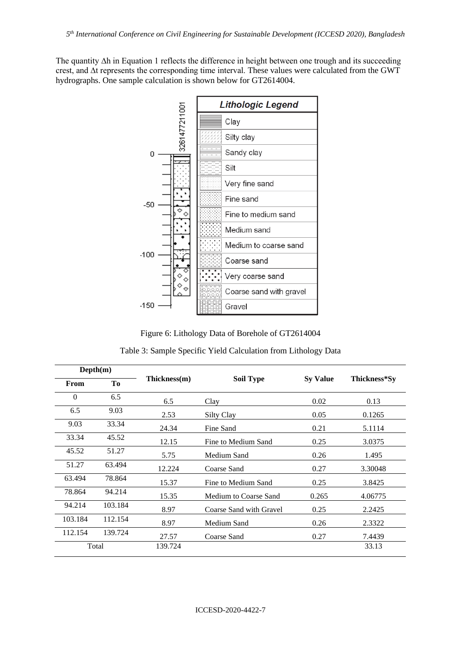The quantity ∆h in Equation 1 reflects the difference in height between one trough and its succeeding crest, and ∆t represents the corresponding time interval. These values were calculated from the GWT hydrographs. One sample calculation is shown below for GT2614004.



Figure 6: Lithology Data of Borehole of GT2614004

Table 3: Sample Specific Yield Calculation from Lithology Data

| Depth(m) |         |              |                         |                 |              |  |
|----------|---------|--------------|-------------------------|-----------------|--------------|--|
| From     | Tо      | Thickness(m) | <b>Soil Type</b>        | <b>Sy Value</b> | Thickness*Sy |  |
| $\Omega$ | 6.5     | 6.5          | Clay                    | 0.02            | 0.13         |  |
| 6.5      | 9.03    | 2.53         | Silty Clay              | 0.05            | 0.1265       |  |
| 9.03     | 33.34   | 24.34        | Fine Sand               | 0.21            | 5.1114       |  |
| 33.34    | 45.52   | 12.15        | Fine to Medium Sand     | 0.25            | 3.0375       |  |
| 45.52    | 51.27   | 5.75         | Medium Sand             | 0.26            | 1.495        |  |
| 51.27    | 63.494  | 12.224       | Coarse Sand             | 0.27            | 3.30048      |  |
| 63.494   | 78.864  | 15.37        | Fine to Medium Sand     | 0.25            | 3.8425       |  |
| 78.864   | 94.214  | 15.35        | Medium to Coarse Sand   | 0.265           | 4.06775      |  |
| 94.214   | 103.184 | 8.97         | Coarse Sand with Gravel | 0.25            | 2.2425       |  |
| 103.184  | 112.154 | 8.97         | Medium Sand             | 0.26            | 2.3322       |  |
| 112.154  | 139.724 | 27.57        | Coarse Sand             | 0.27            | 7.4439       |  |
| Total    |         | 139.724      |                         |                 | 33.13        |  |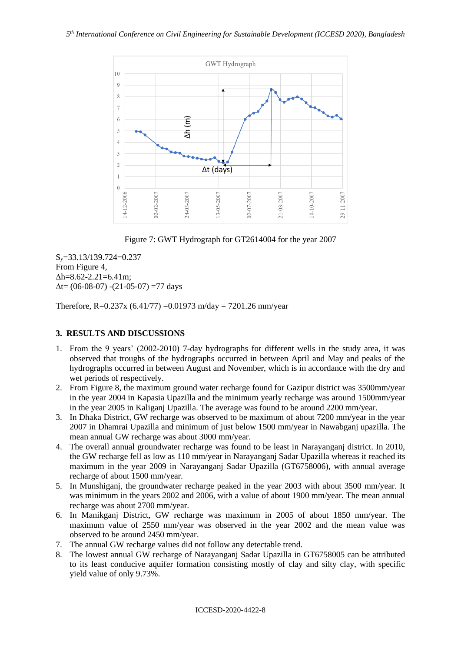

Figure 7: GWT Hydrograph for GT2614004 for the year 2007

Sy=33.13/139.724=0.237 From Figure 4,  $\Delta h = 8.62 - 2.21 = 6.41$ m;  $\Delta t = (06-08-07) - (21-05-07) = 77$  days

Therefore, R=0.237x (6.41/77) = 0.01973 m/day = 7201.26 mm/year

#### **3. RESULTS AND DISCUSSIONS**

- 1. From the 9 years' (2002-2010) 7-day hydrographs for different wells in the study area, it was observed that troughs of the hydrographs occurred in between April and May and peaks of the hydrographs occurred in between August and November, which is in accordance with the dry and wet periods of respectively.
- 2. From [Figure 8,](#page-8-0) the maximum ground water recharge found for Gazipur district was 3500mm/year in the year 2004 in Kapasia Upazilla and the minimum yearly recharge was around 1500mm/year in the year 2005 in Kaliganj Upazilla. The average was found to be around 2200 mm/year.
- 3. In Dhaka District, GW recharge was observed to be maximum of about 7200 mm/year in the year 2007 in Dhamrai Upazilla and minimum of just below 1500 mm/year in Nawabganj upazilla. The mean annual GW recharge was about 3000 mm/year.
- 4. The overall annual groundwater recharge was found to be least in Narayanganj district. In 2010, the GW recharge fell as low as 110 mm/year in Narayanganj Sadar Upazilla whereas it reached its maximum in the year 2009 in Narayanganj Sadar Upazilla (GT6758006), with annual average recharge of about 1500 mm/year.
- 5. In Munshiganj, the groundwater recharge peaked in the year 2003 with about 3500 mm/year. It was minimum in the years 2002 and 2006, with a value of about 1900 mm/year. The mean annual recharge was about 2700 mm/year.
- 6. In Manikganj District, GW recharge was maximum in 2005 of about 1850 mm/year. The maximum value of 2550 mm/year was observed in the year 2002 and the mean value was observed to be around 2450 mm/year.
- 7. The annual GW recharge values did not follow any detectable trend.
- 8. The lowest annual GW recharge of Narayanganj Sadar Upazilla in GT6758005 can be attributed to its least conducive aquifer formation consisting mostly of clay and silty clay, with specific yield value of only 9.73%.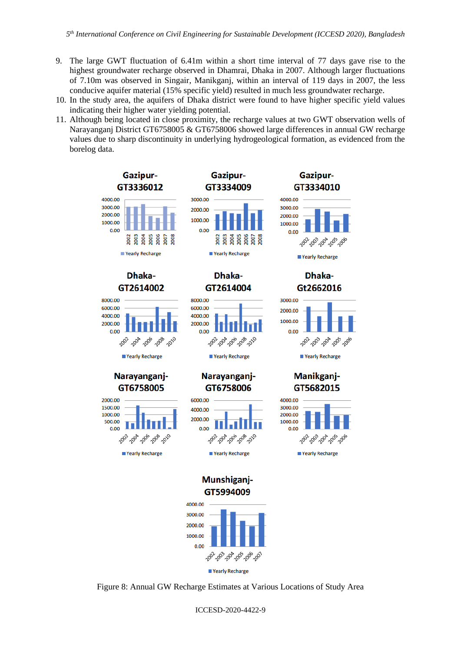- 9. The large GWT fluctuation of 6.41m within a short time interval of 77 days gave rise to the highest groundwater recharge observed in Dhamrai, Dhaka in 2007. Although larger fluctuations of 7.10m was observed in Singair, Manikganj, within an interval of 119 days in 2007, the less conducive aquifer material (15% specific yield) resulted in much less groundwater recharge.
- 10. In the study area, the aquifers of Dhaka district were found to have higher specific yield values indicating their higher water yielding potential.
- 11. Although being located in close proximity, the recharge values at two GWT observation wells of Narayanganj District GT6758005 & GT6758006 showed large differences in annual GW recharge values due to sharp discontinuity in underlying hydrogeological formation, as evidenced from the borelog data.



<span id="page-8-0"></span>Figure 8: Annual GW Recharge Estimates at Various Locations of Study Area

ICCESD-2020-4422-9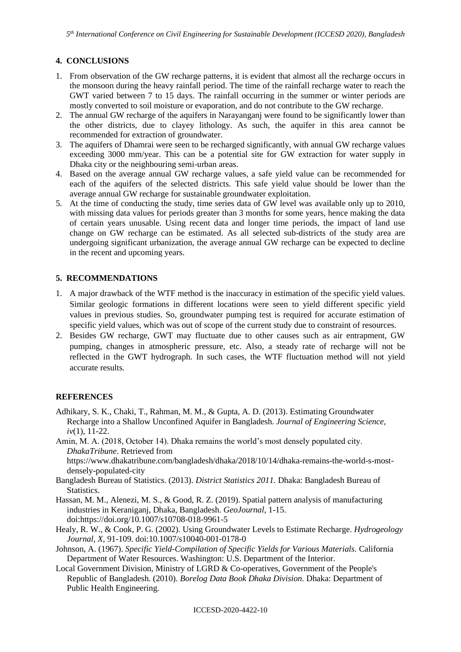# **4. CONCLUSIONS**

- 1. From observation of the GW recharge patterns, it is evident that almost all the recharge occurs in the monsoon during the heavy rainfall period. The time of the rainfall recharge water to reach the GWT varied between 7 to 15 days. The rainfall occurring in the summer or winter periods are mostly converted to soil moisture or evaporation, and do not contribute to the GW recharge.
- 2. The annual GW recharge of the aquifers in Narayanganj were found to be significantly lower than the other districts, due to clayey lithology. As such, the aquifer in this area cannot be recommended for extraction of groundwater.
- 3. The aquifers of Dhamrai were seen to be recharged significantly, with annual GW recharge values exceeding 3000 mm/year. This can be a potential site for GW extraction for water supply in Dhaka city or the neighbouring semi-urban areas.
- 4. Based on the average annual GW recharge values, a safe yield value can be recommended for each of the aquifers of the selected districts. This safe yield value should be lower than the average annual GW recharge for sustainable groundwater exploitation.
- 5. At the time of conducting the study, time series data of GW level was available only up to 2010, with missing data values for periods greater than 3 months for some years, hence making the data of certain years unusable. Using recent data and longer time periods, the impact of land use change on GW recharge can be estimated. As all selected sub-districts of the study area are undergoing significant urbanization, the average annual GW recharge can be expected to decline in the recent and upcoming years.

# **5. RECOMMENDATIONS**

- 1. A major drawback of the WTF method is the inaccuracy in estimation of the specific yield values. Similar geologic formations in different locations were seen to yield different specific yield values in previous studies. So, groundwater pumping test is required for accurate estimation of specific yield values, which was out of scope of the current study due to constraint of resources.
- 2. Besides GW recharge, GWT may fluctuate due to other causes such as air entrapment, GW pumping, changes in atmospheric pressure, etc. Also, a steady rate of recharge will not be reflected in the GWT hydrograph. In such cases, the WTF fluctuation method will not yield accurate results.

# **REFERENCES**

- Adhikary, S. K., Chaki, T., Rahman, M. M., & Gupta, A. D. (2013). Estimating Groundwater Recharge into a Shallow Unconfined Aquifer in Bangladesh. *Journal of Engineering Science, iv*(1), 11-22.
- Amin, M. A. (2018, October 14). Dhaka remains the world's most densely populated city. *DhakaTribune*. Retrieved from https://www.dhakatribune.com/bangladesh/dhaka/2018/10/14/dhaka-remains-the-world-s-most-
- densely-populated-city Bangladesh Bureau of Statistics. (2013). *District Statistics 2011.* Dhaka: Bangladesh Bureau of **Statistics**
- Hassan, M. M., Alenezi, M. S., & Good, R. Z. (2019). Spatial pattern analysis of manufacturing industries in Keraniganj, Dhaka, Bangladesh. *GeoJournal*, 1-15. doi:https://doi.org/10.1007/s10708-018-9961-5
- Healy, R. W., & Cook, P. G. (2002). Using Groundwater Levels to Estimate Recharge. *Hydrogeology Journal, X*, 91-109. doi:10.1007/s10040-001-0178-0
- Johnson, A. (1967). *Specific Yield-Compilation of Specific Yields for Various Materials.* California Department of Water Resources. Washington: U.S. Department of the Interior.
- Local Government Division, Ministry of LGRD & Co-operatives, Government of the People's Republic of Bangladesh. (2010). *Borelog Data Book Dhaka Division.* Dhaka: Department of Public Health Engineering.